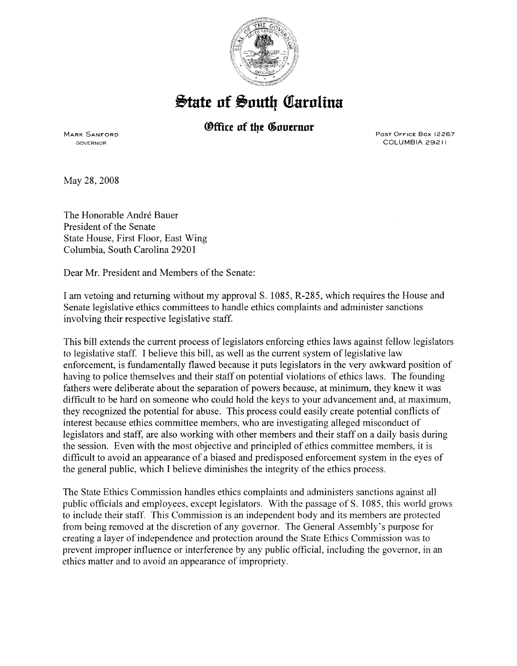

## $\frac{1}{2}$ tate of South Carolina

## *®ffice of the Governor*

MARK SANFORD GOVERNOR

PosT OFFICE Box 12267 COLUMBIA 29211

May 28,2008

The Honorable André Bauer President of the Senate State House, First Floor, East Wing Columbia, South Carolina 29201

Dear Mr. President and Members of the Senate:

I am vetoing and returning without my approval S. 1085, R-285, which requires the House and Senate legislative ethics committees to handle ethics complaints and administer sanctions involving their respective legislative staff.

This bill extends the current process of legislators enforcing ethics laws against fellow legislators to legislative staff. I believe this bill, as well as the current system of legislative law enforcement, is fundamentally flawed because it puts legislators in the very awkward position of having to police themselves and their staff on potential violations of ethics laws. The founding fathers were deliberate about the separation of powers because, at minimum, they knew it was difficult to be hard on someone who could hold the keys to your advancement and, at maximum, they recognized the potential for abuse. This process could easily create potential conflicts of interest because ethics committee members, who are investigating alleged misconduct of legislators and staff, are also working with other members and their staff on a daily basis during the session. Even with the most objective and principled of ethics committee members, it is difficult to avoid an appearance of a biased and predisposed enforcement system in the eyes of the general public, which I believe diminishes the integrity of the ethics process.

The State Ethics Commission handles ethics complaints and administers sanctions against all public officials and employees, except legislators. With the passage of S. 1085, this world grows to include their staff. This Commission is an independent body and its members are protected from being removed at the discretion of any governor. The General Assembly's purpose for creating a layer of independence and protection around the State Ethics Commission was to prevent improper influence or interference by any public official, including the governor, in an ethics matter and to avoid an appearance of impropriety.